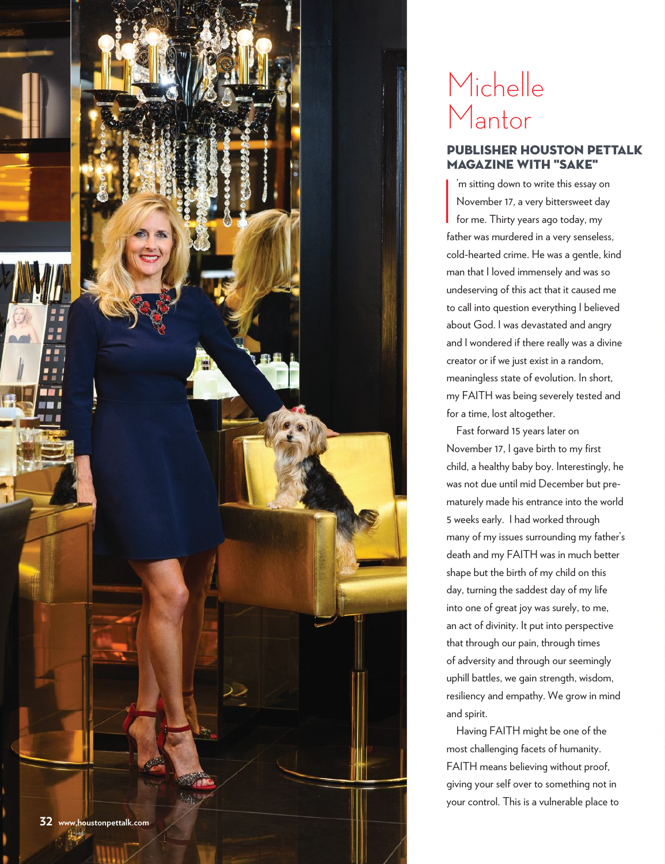

## Michelle Mantor

## Publisher Houston petTAlk magazine With "Sake"

 $\mathbf{I}$ 'm sitting down to write this essay on November 17, a very bittersweet day for me. Thirty years ago today, my father was murdered in a very senseless, cold-hearted crime. He was a gentle, kind man that I loved immensely and was so undeserving of this act that it caused me to call into question everything I believed about God. I was devastated and angry and I wondered if there really was a divine creator or if we just exist in a random, meaningless state of evolution. In short, my FAITH was being severely tested and for a time, lost altogether.

Fast forward 15 years later on November 17, I gave birth to my first child, a healthy baby boy. Interestingly, he was not due until mid December but prematurely made his entrance into the world 5 weeks early. I had worked through many of my issues surrounding my father's death and my FAITH was in much better shape but the birth of my child on this day, turning the saddest day of my life into one of great joy was surely, to me, an act of divinity. It put into perspective that through our pain, through times of adversity and through our seemingly uphill battles, we gain strength, wisdom, resiliency and empathy. We grow in mind and spirit.

Having FAITH might be one of the most challenging facets of humanity. FAITH means believing without proof, giving your self over to something not in your control. This is a vulnerable place to